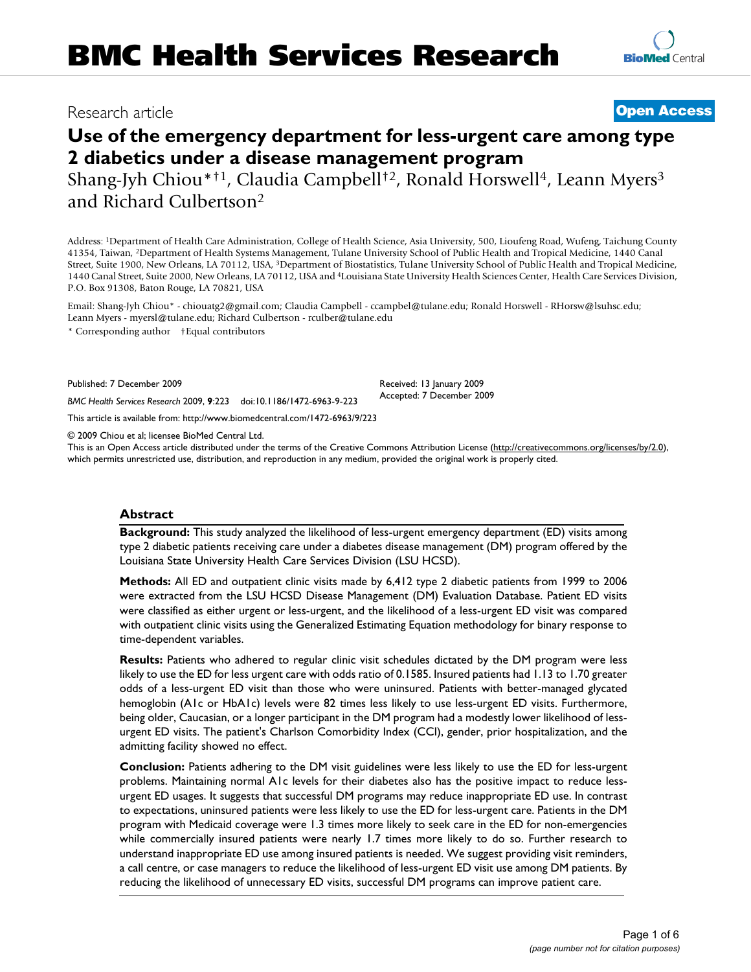## Research article **[Open Access](http://www.biomedcentral.com/info/about/charter/)**

# **[BioMed](http://www.biomedcentral.com/)** Central

**Use of the emergency department for less-urgent care among type 2 diabetics under a disease management program** Shang-Jyh Chiou\*<sup>†1</sup>, Claudia Campbell<sup>†2</sup>, Ronald Horswell<sup>4</sup>, Leann Myers<sup>3</sup> and Richard Culbertson2

Address: 1Department of Health Care Administration, College of Health Science, Asia University, 500, Lioufeng Road, Wufeng, Taichung County 41354, Taiwan, 2Department of Health Systems Management, Tulane University School of Public Health and Tropical Medicine, 1440 Canal Street, Suite 1900, New Orleans, LA 70112, USA, 3Department of Biostatistics, Tulane University School of Public Health and Tropical Medicine, 1440 Canal Street, Suite 2000, New Orleans, LA 70112, USA and 4Louisiana State University Health Sciences Center, Health Care Services Division, P.O. Box 91308, Baton Rouge, LA 70821, USA

Email: Shang-Jyh Chiou\* - chiouatg2@gmail.com; Claudia Campbell - ccampbel@tulane.edu; Ronald Horswell - RHorsw@lsuhsc.edu; Leann Myers - myersl@tulane.edu; Richard Culbertson - rculber@tulane.edu

\* Corresponding author †Equal contributors

Published: 7 December 2009

*BMC Health Services Research* 2009, **9**:223 doi:10.1186/1472-6963-9-223

[This article is available from: http://www.biomedcentral.com/1472-6963/9/223](http://www.biomedcentral.com/1472-6963/9/223)

© 2009 Chiou et al; licensee BioMed Central Ltd.

This is an Open Access article distributed under the terms of the Creative Commons Attribution License [\(http://creativecommons.org/licenses/by/2.0\)](http://creativecommons.org/licenses/by/2.0), which permits unrestricted use, distribution, and reproduction in any medium, provided the original work is properly cited.

Received: 13 January 2009 Accepted: 7 December 2009

#### **Abstract**

**Background:** This study analyzed the likelihood of less-urgent emergency department (ED) visits among type 2 diabetic patients receiving care under a diabetes disease management (DM) program offered by the Louisiana State University Health Care Services Division (LSU HCSD).

**Methods:** All ED and outpatient clinic visits made by 6,412 type 2 diabetic patients from 1999 to 2006 were extracted from the LSU HCSD Disease Management (DM) Evaluation Database. Patient ED visits were classified as either urgent or less-urgent, and the likelihood of a less-urgent ED visit was compared with outpatient clinic visits using the Generalized Estimating Equation methodology for binary response to time-dependent variables.

**Results:** Patients who adhered to regular clinic visit schedules dictated by the DM program were less likely to use the ED for less urgent care with odds ratio of 0.1585. Insured patients had 1.13 to 1.70 greater odds of a less-urgent ED visit than those who were uninsured. Patients with better-managed glycated hemoglobin (A1c or HbA1c) levels were 82 times less likely to use less-urgent ED visits. Furthermore, being older, Caucasian, or a longer participant in the DM program had a modestly lower likelihood of lessurgent ED visits. The patient's Charlson Comorbidity Index (CCI), gender, prior hospitalization, and the admitting facility showed no effect.

**Conclusion:** Patients adhering to the DM visit guidelines were less likely to use the ED for less-urgent problems. Maintaining normal A1c levels for their diabetes also has the positive impact to reduce lessurgent ED usages. It suggests that successful DM programs may reduce inappropriate ED use. In contrast to expectations, uninsured patients were less likely to use the ED for less-urgent care. Patients in the DM program with Medicaid coverage were 1.3 times more likely to seek care in the ED for non-emergencies while commercially insured patients were nearly 1.7 times more likely to do so. Further research to understand inappropriate ED use among insured patients is needed. We suggest providing visit reminders, a call centre, or case managers to reduce the likelihood of less-urgent ED visit use among DM patients. By reducing the likelihood of unnecessary ED visits, successful DM programs can improve patient care.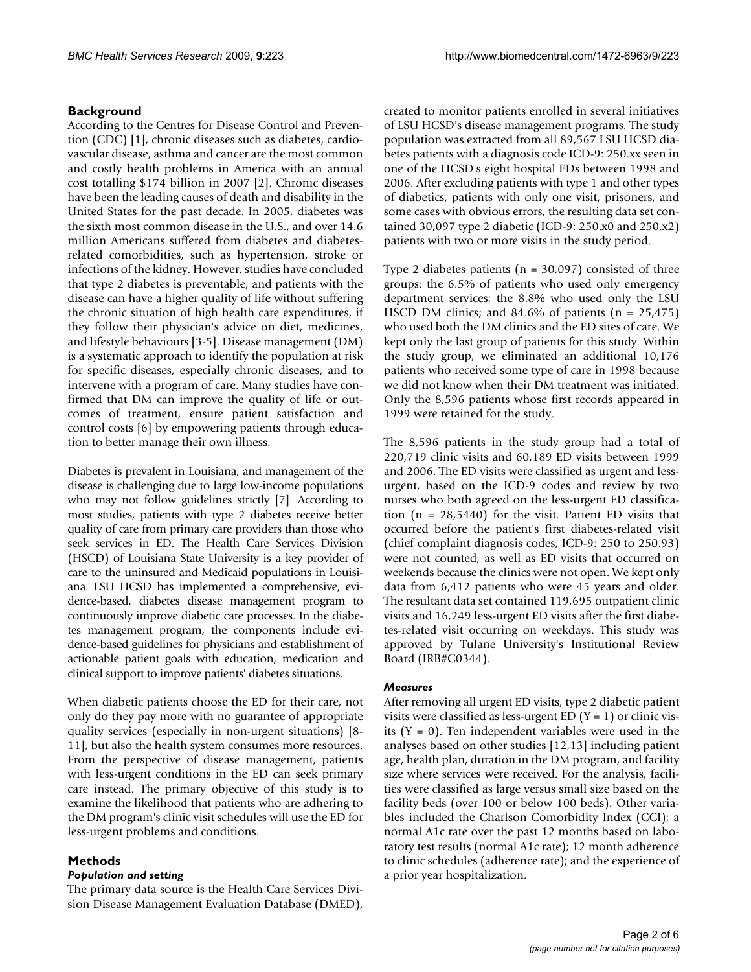#### **Background**

According to the Centres for Disease Control and Prevention (CDC) [1], chronic diseases such as diabetes, cardiovascular disease, asthma and cancer are the most common and costly health problems in America with an annual cost totalling \$174 billion in 2007 [2]. Chronic diseases have been the leading causes of death and disability in the United States for the past decade. In 2005, diabetes was the sixth most common disease in the U.S., and over 14.6 million Americans suffered from diabetes and diabetesrelated comorbidities, such as hypertension, stroke or infections of the kidney. However, studies have concluded that type 2 diabetes is preventable, and patients with the disease can have a higher quality of life without suffering the chronic situation of high health care expenditures, if they follow their physician's advice on diet, medicines, and lifestyle behaviours [3-5]. Disease management (DM) is a systematic approach to identify the population at risk for specific diseases, especially chronic diseases, and to intervene with a program of care. Many studies have confirmed that DM can improve the quality of life or outcomes of treatment, ensure patient satisfaction and control costs [6] by empowering patients through education to better manage their own illness.

Diabetes is prevalent in Louisiana, and management of the disease is challenging due to large low-income populations who may not follow guidelines strictly [7]. According to most studies, patients with type 2 diabetes receive better quality of care from primary care providers than those who seek services in ED. The Health Care Services Division (HSCD) of Louisiana State University is a key provider of care to the uninsured and Medicaid populations in Louisiana. LSU HCSD has implemented a comprehensive, evidence-based, diabetes disease management program to continuously improve diabetic care processes. In the diabetes management program, the components include evidence-based guidelines for physicians and establishment of actionable patient goals with education, medication and clinical support to improve patients' diabetes situations.

When diabetic patients choose the ED for their care, not only do they pay more with no guarantee of appropriate quality services (especially in non-urgent situations) [8- 11], but also the health system consumes more resources. From the perspective of disease management, patients with less-urgent conditions in the ED can seek primary care instead. The primary objective of this study is to examine the likelihood that patients who are adhering to the DM program's clinic visit schedules will use the ED for less-urgent problems and conditions.

#### **Methods**

#### *Population and setting*

The primary data source is the Health Care Services Division Disease Management Evaluation Database (DMED), created to monitor patients enrolled in several initiatives of LSU HCSD's disease management programs. The study population was extracted from all 89,567 LSU HCSD diabetes patients with a diagnosis code ICD-9: 250.xx seen in one of the HCSD's eight hospital EDs between 1998 and 2006. After excluding patients with type 1 and other types of diabetics, patients with only one visit, prisoners, and some cases with obvious errors, the resulting data set contained 30,097 type 2 diabetic (ICD-9: 250.x0 and 250.x2) patients with two or more visits in the study period.

Type 2 diabetes patients ( $n = 30,097$ ) consisted of three groups: the 6.5% of patients who used only emergency department services; the 8.8% who used only the LSU HSCD DM clinics; and  $84.6\%$  of patients (n = 25,475) who used both the DM clinics and the ED sites of care. We kept only the last group of patients for this study. Within the study group, we eliminated an additional 10,176 patients who received some type of care in 1998 because we did not know when their DM treatment was initiated. Only the 8,596 patients whose first records appeared in 1999 were retained for the study.

The 8,596 patients in the study group had a total of 220,719 clinic visits and 60,189 ED visits between 1999 and 2006. The ED visits were classified as urgent and lessurgent, based on the ICD-9 codes and review by two nurses who both agreed on the less-urgent ED classification  $(n = 28,5440)$  for the visit. Patient ED visits that occurred before the patient's first diabetes-related visit (chief complaint diagnosis codes, ICD-9: 250 to 250.93) were not counted, as well as ED visits that occurred on weekends because the clinics were not open. We kept only data from 6,412 patients who were 45 years and older. The resultant data set contained 119,695 outpatient clinic visits and 16,249 less-urgent ED visits after the first diabetes-related visit occurring on weekdays. This study was approved by Tulane University's Institutional Review Board (IRB#C0344).

#### *Measures*

After removing all urgent ED visits, type 2 diabetic patient visits were classified as less-urgent ED  $(Y = 1)$  or clinic visits  $(Y = 0)$ . Ten independent variables were used in the analyses based on other studies [12,13] including patient age, health plan, duration in the DM program, and facility size where services were received. For the analysis, facilities were classified as large versus small size based on the facility beds (over 100 or below 100 beds). Other variables included the Charlson Comorbidity Index (CCI); a normal A1c rate over the past 12 months based on laboratory test results (normal A1c rate); 12 month adherence to clinic schedules (adherence rate); and the experience of a prior year hospitalization.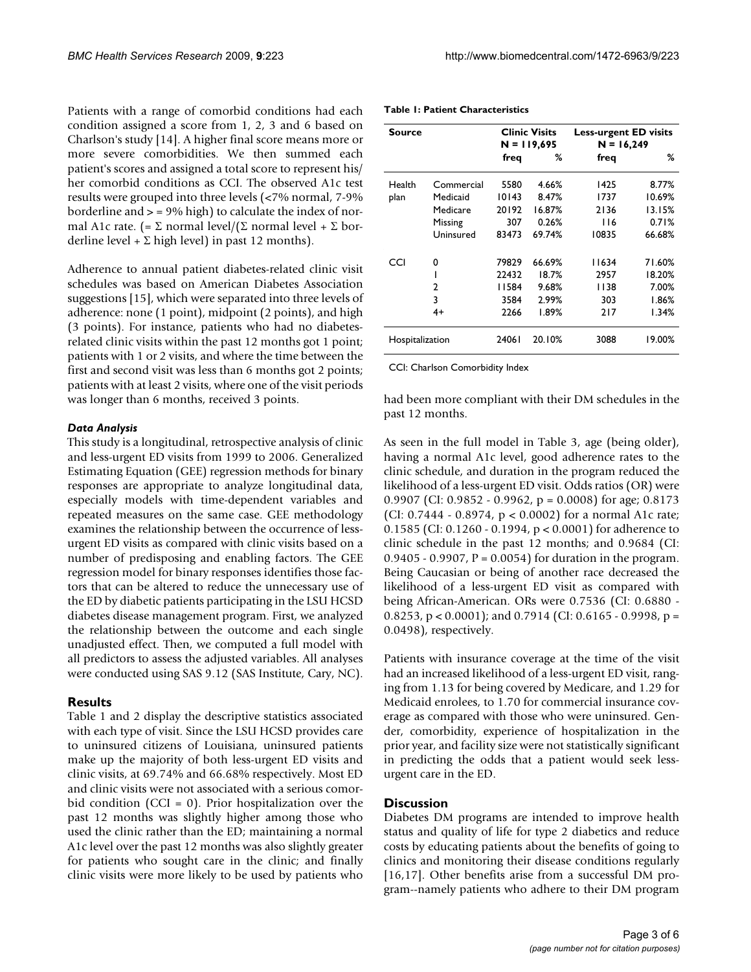*BMC Health Services Research* 2009, 9:223 http://www.biomedcentral.com/1472-6963/9/223

Patients with a range of comorbid conditions had each condition assigned a score from 1, 2, 3 and 6 based on Charlson's study [14]. A higher final score means more or more severe comorbidities. We then summed each patient's scores and assigned a total score to represent his/ her comorbid conditions as CCI. The observed A1c test results were grouped into three levels (<7% normal, 7-9% borderline and  $>$  = 9% high) to calculate the index of normal A1c rate. (=  $\Sigma$  normal level/( $\Sigma$  normal level +  $\Sigma$  borderline level +  $\Sigma$  high level) in past 12 months).

Adherence to annual patient diabetes-related clinic visit schedules was based on American Diabetes Association suggestions [[15\]](#page-5-0), which were separated into three levels of adherence: none (1 point), midpoint (2 points), and high (3 points). For instance, patients who had no diabetesrelated clinic visits within the past 12 months got 1 point; patients with 1 or 2 visits, and where the time between the first and second visit was less than 6 months got 2 points; patients with at least 2 visits, where one of the visit periods was longer than 6 months, received 3 points.

#### *Data Analysis*

This study is a longitudinal, retrospective analysis of clinic and less-urgent ED visits from 1999 to 2006. Generalized Estimating Equation (GEE) regression methods for binary responses are appropriate to analyze longitudinal data, especially models with time-dependent variables and repeated measures on the same case. GEE methodology examines the relationship between the occurrence of lessurgent ED visits as compared with clinic visits based on a number of predisposing and enabling factors. The GEE regression model for binary responses identifies those factors that can be altered to reduce the unnecessary use of the ED by diabetic patients participating in the LSU HCSD diabetes disease management program. First, we analyzed the relationship between the outcome and each single unadjusted effect. Then, we computed a full model with all predictors to assess the adjusted variables. All analyses were conducted using SAS 9.12 (SAS Institute, Cary, NC).

#### **Results**

Table 1 and 2 display the descriptive statistics associated with each type of visit. Since the LSU HCSD provides care to uninsured citizens of Louisiana, uninsured patients make up the majority of both less-urgent ED visits and clinic visits, at 69.74% and 66.68% respectively. Most ED and clinic visits were not associated with a serious comorbid condition (CCI = 0). Prior hospitalization over the past 12 months was slightly higher among those who used the clinic rather than the ED; maintaining a normal A1c level over the past 12 months was also slightly greater for patients who sought care in the clinic; and finally clinic visits were more likely to be used by patients who

| Table 1: Patient Characteristics |  |
|----------------------------------|--|
|----------------------------------|--|

| Source          |            |               | <b>Clinic Visits</b> | <b>Less-urgent ED visits</b> |        |  |
|-----------------|------------|---------------|----------------------|------------------------------|--------|--|
|                 |            | $N = 119,695$ |                      | $N = 16,249$                 |        |  |
|                 |            | freg          | ℅                    | freq                         | ℅      |  |
| Health          | Commercial | 5580          | 4.66%                | 1425                         | 8.77%  |  |
| plan            | Medicaid   | 10143         | 8.47%                | 1737                         | 10.69% |  |
|                 | Medicare   | 20192         | 16.87%               | 2136                         | 13.15% |  |
|                 | Missing    | 307           | 0.26%                | 116                          | 0.71%  |  |
|                 | Uninsured  | 83473         | 69.74%               | 10835                        | 66.68% |  |
| CCI             | 0          | 79829         | 66.69%               | 11634                        | 71.60% |  |
|                 |            | 22432         | 18.7%                | 2957                         | 18.20% |  |
|                 | 2          | 11584         | 9.68%                | 1138                         | 7.00%  |  |
|                 | 3          | 3584          | 2.99%                | 303                          | 1.86%  |  |
|                 | 4+         | 2266          | 1.89%                | 217                          | 1.34%  |  |
| Hospitalization |            | 24061         | 20.10%               | 3088                         | 19.00% |  |

CCI: Charlson Comorbidity Index

had been more compliant with their DM schedules in the past 12 months.

As seen in the full model in Table 3, age (being older), having a normal A1c level, good adherence rates to the clinic schedule, and duration in the program reduced the likelihood of a less-urgent ED visit. Odds ratios (OR) were 0.9907 (CI:  $0.9852 - 0.9962$ ,  $p = 0.0008$ ) for age; 0.8173 (CI: 0.7444 - 0.8974, p < 0.0002) for a normal A1c rate; 0.1585 (CI: 0.1260 - 0.1994, p < 0.0001) for adherence to clinic schedule in the past 12 months; and 0.9684 (CI: 0.9405 - 0.9907,  $P = 0.0054$  for duration in the program. Being Caucasian or being of another race decreased the likelihood of a less-urgent ED visit as compared with being African-American. ORs were 0.7536 (CI: 0.6880 - 0.8253,  $p < 0.0001$ ); and 0.7914 (CI: 0.6165 - 0.9998,  $p =$ 0.0498), respectively.

Patients with insurance coverage at the time of the visit had an increased likelihood of a less-urgent ED visit, ranging from 1.13 for being covered by Medicare, and 1.29 for Medicaid enrolees, to 1.70 for commercial insurance coverage as compared with those who were uninsured. Gender, comorbidity, experience of hospitalization in the prior year, and facility size were not statistically significant in predicting the odds that a patient would seek lessurgent care in the ED.

#### **Discussion**

Diabetes DM programs are intended to improve health status and quality of life for type 2 diabetics and reduce costs by educating patients about the benefits of going to clinics and monitoring their disease conditions regularly [16,17]. Other benefits arise from a successful DM program--namely patients who adhere to their DM program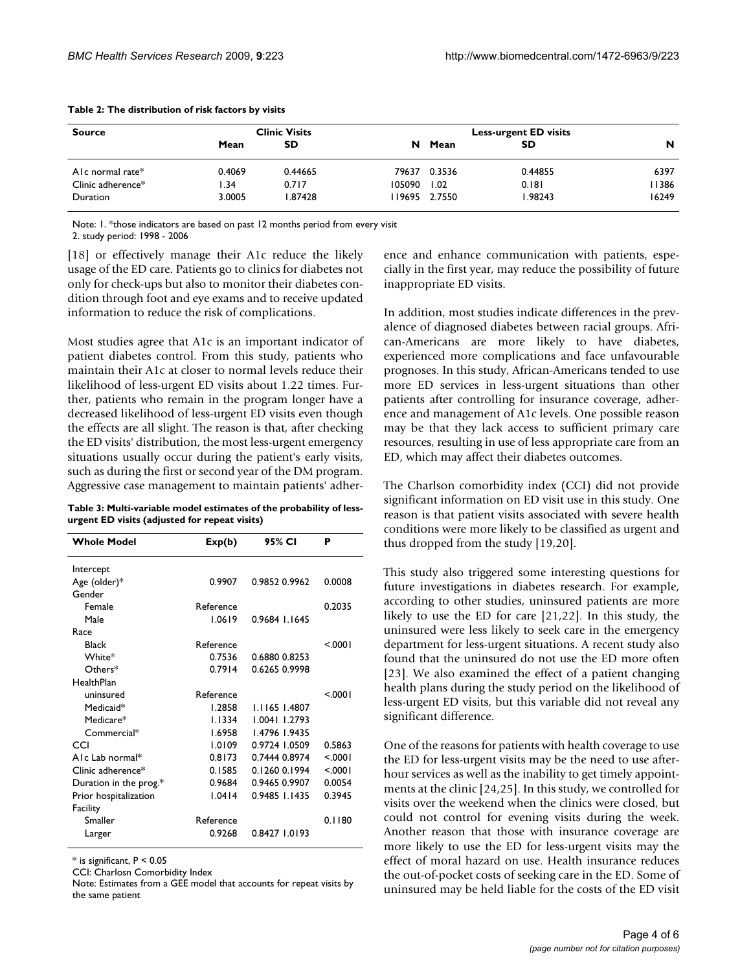| <b>Source</b>       |        | <b>Clinic Visits</b> |        | <b>Less-urgent ED visits</b> |         |         |  |
|---------------------|--------|----------------------|--------|------------------------------|---------|---------|--|
|                     | Mean   | <b>SD</b>            | N      | Mean                         | SD      | N       |  |
| Alc normal rate $*$ | 0.4069 | 0.44665              | 79637  | 0.3536                       | 0.44855 | 6397    |  |
| Clinic adherence*   | .34    | 0.717                | 105090 | 1.02                         | 0.181   | I I 386 |  |
| Duration            | 3.0005 | 1.87428              |        | 19695 2.7550                 | 1.98243 | 16249   |  |

#### **Table 2: The distribution of risk factors by visits**

Note: 1. \*those indicators are based on past 12 months period from every visit

2. study period: 1998 - 2006

[18] or effectively manage their A1c reduce the likely usage of the ED care. Patients go to clinics for diabetes not only for check-ups but also to monitor their diabetes condition through foot and eye exams and to receive updated information to reduce the risk of complications.

Most studies agree that A1c is an important indicator of patient diabetes control. From this study, patients who maintain their A1c at closer to normal levels reduce their likelihood of less-urgent ED visits about 1.22 times. Further, patients who remain in the program longer have a decreased likelihood of less-urgent ED visits even though the effects are all slight. The reason is that, after checking the ED visits' distribution, the most less-urgent emergency situations usually occur during the patient's early visits, such as during the first or second year of the DM program. Aggressive case management to maintain patients' adher-

**Table 3: Multi-variable model estimates of the probability of lessurgent ED visits (adjusted for repeat visits)**

| <b>Whole Model</b>     | Exp(b)    | 95% CI        | P      |
|------------------------|-----------|---------------|--------|
| Intercept              |           |               |        |
| Age (older)*           | 0.9907    | 0.9852 0.9962 | 0.0008 |
| Gender                 |           |               |        |
| Female                 | Reference |               | 0.2035 |
| Male                   | 1.0619    | 0.9684 1.1645 |        |
| Race                   |           |               |        |
| <b>Black</b>           | Reference |               | < 0001 |
| White*                 | 0.7536    | 0.6880 0.8253 |        |
| $O$ thers $*$          | 0.7914    | 0.6265 0.9998 |        |
| HealthPlan             |           |               |        |
| uninsured              | Reference |               | < 0001 |
| Medicaid*              | 1.2858    | 1.1165 1.4807 |        |
| Medicare*              | 1.1334    | 1.0041 1.2793 |        |
| Commercial*            | 1.6958    | 1.4796 1.9435 |        |
| CCI                    | 1.0109    | 0.9724 1.0509 | 0.5863 |
| AIc Lab normal*        | 0.8173    | 0.7444 0.8974 | < 0001 |
| Clinic adherence*      | 0.1585    | 0.1260 0.1994 | < 0001 |
| Duration in the prog.* | 0.9684    | 0.9465 0.9907 | 0.0054 |
| Prior hospitalization  | 1.0414    | 0.9485 1.1435 | 0.3945 |
| Facility               |           |               |        |
| Smaller                | Reference |               | 0.1180 |
| Larger                 | 0.9268    | 0.8427 1.0193 |        |

 $*$  is significant,  $P < 0.05$ 

CCI: Charlosn Comorbidity Index

Note: Estimates from a GEE model that accounts for repeat visits by the same patient

ence and enhance communication with patients, especially in the first year, may reduce the possibility of future inappropriate ED visits.

In addition, most studies indicate differences in the prevalence of diagnosed diabetes between racial groups. African-Americans are more likely to have diabetes, experienced more complications and face unfavourable prognoses. In this study, African-Americans tended to use more ED services in less-urgent situations than other patients after controlling for insurance coverage, adherence and management of A1c levels. One possible reason may be that they lack access to sufficient primary care resources, resulting in use of less appropriate care from an ED, which may affect their diabetes outcomes.

The Charlson comorbidity index (CCI) did not provide significant information on ED visit use in this study. One reason is that patient visits associated with severe health conditions were more likely to be classified as urgent and thus dropped from the study [19,20].

This study also triggered some interesting questions for future investigations in diabetes research. For example, according to other studies, uninsured patients are more likely to use the ED for care [21,22]. In this study, the uninsured were less likely to seek care in the emergency department for less-urgent situations. A recent study also found that the uninsured do not use the ED more often [23]. We also examined the effect of a patient changing health plans during the study period on the likelihood of less-urgent ED visits, but this variable did not reveal any significant difference.

One of the reasons for patients with health coverage to use the ED for less-urgent visits may be the need to use afterhour services as well as the inability to get timely appointments at the clinic [24,25]. In this study, we controlled for visits over the weekend when the clinics were closed, but could not control for evening visits during the week. Another reason that those with insurance coverage are more likely to use the ED for less-urgent visits may the effect of moral hazard on use. Health insurance reduces the out-of-pocket costs of seeking care in the ED. Some of uninsured may be held liable for the costs of the ED visit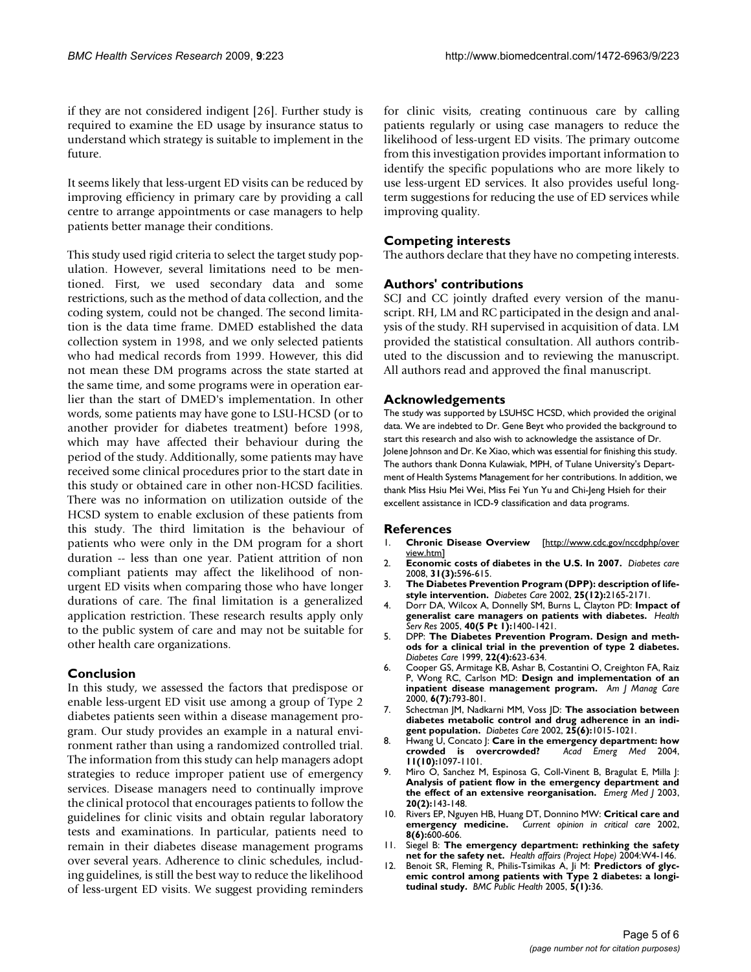if they are not considered indigent [26]. Further study is required to examine the ED usage by insurance status to understand which strategy is suitable to implement in the future.

It seems likely that less-urgent ED visits can be reduced by improving efficiency in primary care by providing a call centre to arrange appointments or case managers to help patients better manage their conditions.

This study used rigid criteria to select the target study population. However, several limitations need to be mentioned. First, we used secondary data and some restrictions, such as the method of data collection, and the coding system, could not be changed. The second limitation is the data time frame. DMED established the data collection system in 1998, and we only selected patients who had medical records from 1999. However, this did not mean these DM programs across the state started at the same time, and some programs were in operation earlier than the start of DMED's implementation. In other words, some patients may have gone to LSU-HCSD (or to another provider for diabetes treatment) before 1998, which may have affected their behaviour during the period of the study. Additionally, some patients may have received some clinical procedures prior to the start date in this study or obtained care in other non-HCSD facilities. There was no information on utilization outside of the HCSD system to enable exclusion of these patients from this study. The third limitation is the behaviour of patients who were only in the DM program for a short duration -- less than one year. Patient attrition of non compliant patients may affect the likelihood of nonurgent ED visits when comparing those who have longer durations of care. The final limitation is a generalized application restriction. These research results apply only to the public system of care and may not be suitable for other health care organizations.

#### **Conclusion**

In this study, we assessed the factors that predispose or enable less-urgent ED visit use among a group of Type 2 diabetes patients seen within a disease management program. Our study provides an example in a natural environment rather than using a randomized controlled trial. The information from this study can help managers adopt strategies to reduce improper patient use of emergency services. Disease managers need to continually improve the clinical protocol that encourages patients to follow the guidelines for clinic visits and obtain regular laboratory tests and examinations. In particular, patients need to remain in their diabetes disease management programs over several years. Adherence to clinic schedules, including guidelines, is still the best way to reduce the likelihood of less-urgent ED visits. We suggest providing reminders for clinic visits, creating continuous care by calling patients regularly or using case managers to reduce the likelihood of less-urgent ED visits. The primary outcome from this investigation provides important information to identify the specific populations who are more likely to use less-urgent ED services. It also provides useful longterm suggestions for reducing the use of ED services while improving quality.

### **Competing interests**

The authors declare that they have no competing interests.

#### **Authors' contributions**

SCJ and CC jointly drafted every version of the manuscript. RH, LM and RC participated in the design and analysis of the study. RH supervised in acquisition of data. LM provided the statistical consultation. All authors contributed to the discussion and to reviewing the manuscript. All authors read and approved the final manuscript.

#### **Acknowledgements**

The study was supported by LSUHSC HCSD, which provided the original data. We are indebted to Dr. Gene Beyt who provided the background to start this research and also wish to acknowledge the assistance of Dr. Jolene Johnson and Dr. Ke Xiao, which was essential for finishing this study. The authors thank Donna Kulawiak, MPH, of Tulane University's Department of Health Systems Management for her contributions. In addition, we thank Miss Hsiu Mei Wei, Miss Fei Yun Yu and Chi-Jeng Hsieh for their excellent assistance in ICD-9 classification and data programs.

#### **References**

- 1. **Chronic Disease Overview** [[http://www.cdc.gov/nccdphp/over](http://www.cdc.gov/nccdphp/overview.htm) [view.htm](http://www.cdc.gov/nccdphp/overview.htm)]
- 2. **[Economic costs of diabetes in the U.S. In 2007.](http://www.ncbi.nlm.nih.gov/entrez/query.fcgi?cmd=Retrieve&db=PubMed&dopt=Abstract&list_uids=18308683)** *Diabetes care* 2008, **31(3):**596-615.
- 3. **[The Diabetes Prevention Program \(DPP\): description of life](http://www.ncbi.nlm.nih.gov/entrez/query.fcgi?cmd=Retrieve&db=PubMed&dopt=Abstract&list_uids=12453955)[style intervention.](http://www.ncbi.nlm.nih.gov/entrez/query.fcgi?cmd=Retrieve&db=PubMed&dopt=Abstract&list_uids=12453955)** *Diabetes Care* 2002, **25(12):**2165-2171.
- 4. Dorr DA, Wilcox A, Donnelly SM, Burns L, Clayton PD: **[Impact of](http://www.ncbi.nlm.nih.gov/entrez/query.fcgi?cmd=Retrieve&db=PubMed&dopt=Abstract&list_uids=16174140) [generalist care managers on patients with diabetes.](http://www.ncbi.nlm.nih.gov/entrez/query.fcgi?cmd=Retrieve&db=PubMed&dopt=Abstract&list_uids=16174140)** *Health Serv Res* 2005, **40(5 Pt 1):**1400-1421.
- 5. DPP: **[The Diabetes Prevention Program. Design and meth](http://www.ncbi.nlm.nih.gov/entrez/query.fcgi?cmd=Retrieve&db=PubMed&dopt=Abstract&list_uids=10189543)[ods for a clinical trial in the prevention of type 2 diabetes.](http://www.ncbi.nlm.nih.gov/entrez/query.fcgi?cmd=Retrieve&db=PubMed&dopt=Abstract&list_uids=10189543)** *Diabetes Care* 1999, **22(4):**623-634.
- 6. Cooper GS, Armitage KB, Ashar B, Costantini O, Creighton FA, Raiz P, Wong RC, Carlson MD: **[Design and implementation of an](http://www.ncbi.nlm.nih.gov/entrez/query.fcgi?cmd=Retrieve&db=PubMed&dopt=Abstract&list_uids=11067376) [inpatient disease management program.](http://www.ncbi.nlm.nih.gov/entrez/query.fcgi?cmd=Retrieve&db=PubMed&dopt=Abstract&list_uids=11067376)** *Am J Manag Care* 2000, **6(7):**793-801.
- 7. Schectman JM, Nadkarni MM, Voss JD: **[The association between](http://www.ncbi.nlm.nih.gov/entrez/query.fcgi?cmd=Retrieve&db=PubMed&dopt=Abstract&list_uids=12032108) [diabetes metabolic control and drug adherence in an indi](http://www.ncbi.nlm.nih.gov/entrez/query.fcgi?cmd=Retrieve&db=PubMed&dopt=Abstract&list_uids=12032108)[gent population.](http://www.ncbi.nlm.nih.gov/entrez/query.fcgi?cmd=Retrieve&db=PubMed&dopt=Abstract&list_uids=12032108)** *Diabetes Care* 2002, **25(6):**1015-1021.
- 8. Hwang U, Concato J: **[Care in the emergency department: how](http://www.ncbi.nlm.nih.gov/entrez/query.fcgi?cmd=Retrieve&db=PubMed&dopt=Abstract&list_uids=15466155)** [crowded is overcrowded?](http://www.ncbi.nlm.nih.gov/entrez/query.fcgi?cmd=Retrieve&db=PubMed&dopt=Abstract&list_uids=15466155) **11(10):**1097-1101.
- 9. Miro O, Sanchez M, Espinosa G, Coll-Vinent B, Bragulat E, Milla J: **[Analysis of patient flow in the emergency department and](http://www.ncbi.nlm.nih.gov/entrez/query.fcgi?cmd=Retrieve&db=PubMed&dopt=Abstract&list_uids=12642527) [the effect of an extensive reorganisation.](http://www.ncbi.nlm.nih.gov/entrez/query.fcgi?cmd=Retrieve&db=PubMed&dopt=Abstract&list_uids=12642527)** *Emerg Med J* 2003, **20(2):**143-148.
- 10. Rivers EP, Nguyen HB, Huang DT, Donnino MW: **[Critical care and](http://www.ncbi.nlm.nih.gov/entrez/query.fcgi?cmd=Retrieve&db=PubMed&dopt=Abstract&list_uids=12454549) [emergency medicine.](http://www.ncbi.nlm.nih.gov/entrez/query.fcgi?cmd=Retrieve&db=PubMed&dopt=Abstract&list_uids=12454549)** *Current opinion in critical care* 2002, **8(6):**600-606.
- 11. Siegel B: **[The emergency department: rethinking the safety](http://www.ncbi.nlm.nih.gov/entrez/query.fcgi?cmd=Retrieve&db=PubMed&dopt=Abstract&list_uids=15451988) [net for the safety net.](http://www.ncbi.nlm.nih.gov/entrez/query.fcgi?cmd=Retrieve&db=PubMed&dopt=Abstract&list_uids=15451988)** *Health affairs (Project Hope)* 2004:W4-146.
- 12. Benoit SR, Fleming R, Philis-Tsimikas A, Ji M: **[Predictors of glyc](http://www.ncbi.nlm.nih.gov/entrez/query.fcgi?cmd=Retrieve&db=PubMed&dopt=Abstract&list_uids=15833140)[emic control among patients with Type 2 diabetes: a longi](http://www.ncbi.nlm.nih.gov/entrez/query.fcgi?cmd=Retrieve&db=PubMed&dopt=Abstract&list_uids=15833140)[tudinal study.](http://www.ncbi.nlm.nih.gov/entrez/query.fcgi?cmd=Retrieve&db=PubMed&dopt=Abstract&list_uids=15833140)** *BMC Public Health* 2005, **5(1):**36.